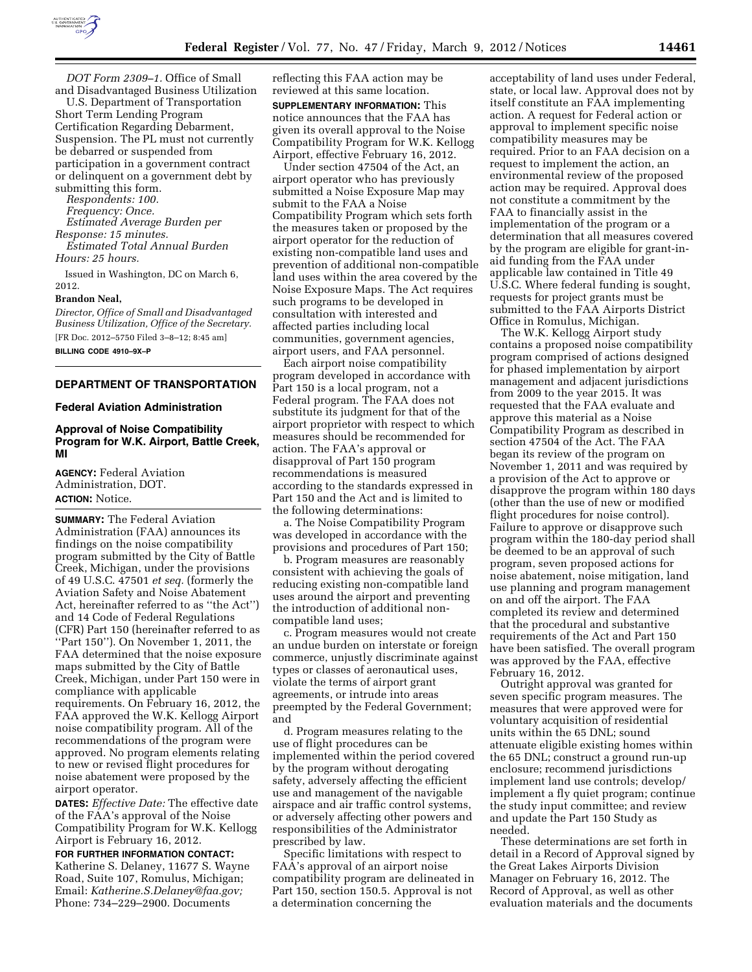

*DOT Form 2309–1.* Office of Small and Disadvantaged Business Utilization

U.S. Department of Transportation Short Term Lending Program Certification Regarding Debarment, Suspension. The PL must not currently be debarred or suspended from participation in a government contract or delinquent on a government debt by submitting this form.

*Respondents: 100.* 

*Frequency: Once.* 

*Estimated Average Burden per Response: 15 minutes.* 

*Estimated Total Annual Burden Hours: 25 hours.* 

Issued in Washington, DC on March 6, 2012.

#### **Brandon Neal,**

*Director, Office of Small and Disadvantaged Business Utilization, Office of the Secretary.*  [FR Doc. 2012–5750 Filed 3–8–12; 8:45 am]

**BILLING CODE 4910–9X–P** 

### **DEPARTMENT OF TRANSPORTATION**

#### **Federal Aviation Administration**

# **Approval of Noise Compatibility Program for W.K. Airport, Battle Creek, MI**

**AGENCY:** Federal Aviation Administration, DOT. **ACTION:** Notice.

**SUMMARY:** The Federal Aviation Administration (FAA) announces its findings on the noise compatibility program submitted by the City of Battle Creek, Michigan, under the provisions of 49 U.S.C. 47501 *et seq.* (formerly the Aviation Safety and Noise Abatement Act, hereinafter referred to as ''the Act'') and 14 Code of Federal Regulations (CFR) Part 150 (hereinafter referred to as ''Part 150''). On November 1, 2011, the FAA determined that the noise exposure maps submitted by the City of Battle Creek, Michigan, under Part 150 were in compliance with applicable requirements. On February 16, 2012, the FAA approved the W.K. Kellogg Airport noise compatibility program. All of the recommendations of the program were approved. No program elements relating to new or revised flight procedures for noise abatement were proposed by the airport operator.

**DATES:** *Effective Date:* The effective date of the FAA's approval of the Noise Compatibility Program for W.K. Kellogg Airport is February 16, 2012.

### **FOR FURTHER INFORMATION CONTACT:**  Katherine S. Delaney, 11677 S. Wayne Road, Suite 107, Romulus, Michigan; Email: *[Katherine.S.Delaney@faa.gov;](mailto:Katherine.S.Delaney@faa.gov)*  Phone: 734–229–2900. Documents

reflecting this FAA action may be reviewed at this same location.

**SUPPLEMENTARY INFORMATION:** This notice announces that the FAA has given its overall approval to the Noise Compatibility Program for W.K. Kellogg Airport, effective February 16, 2012.

Under section 47504 of the Act, an airport operator who has previously submitted a Noise Exposure Map may submit to the FAA a Noise Compatibility Program which sets forth the measures taken or proposed by the airport operator for the reduction of existing non-compatible land uses and prevention of additional non-compatible land uses within the area covered by the Noise Exposure Maps. The Act requires such programs to be developed in consultation with interested and affected parties including local communities, government agencies, airport users, and FAA personnel.

Each airport noise compatibility program developed in accordance with Part 150 is a local program, not a Federal program. The FAA does not substitute its judgment for that of the airport proprietor with respect to which measures should be recommended for action. The FAA's approval or disapproval of Part 150 program recommendations is measured according to the standards expressed in Part 150 and the Act and is limited to the following determinations:

a. The Noise Compatibility Program was developed in accordance with the provisions and procedures of Part 150;

b. Program measures are reasonably consistent with achieving the goals of reducing existing non-compatible land uses around the airport and preventing the introduction of additional noncompatible land uses;

c. Program measures would not create an undue burden on interstate or foreign commerce, unjustly discriminate against types or classes of aeronautical uses, violate the terms of airport grant agreements, or intrude into areas preempted by the Federal Government; and

d. Program measures relating to the use of flight procedures can be implemented within the period covered by the program without derogating safety, adversely affecting the efficient use and management of the navigable airspace and air traffic control systems, or adversely affecting other powers and responsibilities of the Administrator prescribed by law.

Specific limitations with respect to FAA's approval of an airport noise compatibility program are delineated in Part 150, section 150.5. Approval is not a determination concerning the

acceptability of land uses under Federal, state, or local law. Approval does not by itself constitute an FAA implementing action. A request for Federal action or approval to implement specific noise compatibility measures may be required. Prior to an FAA decision on a request to implement the action, an environmental review of the proposed action may be required. Approval does not constitute a commitment by the FAA to financially assist in the implementation of the program or a determination that all measures covered by the program are eligible for grant-inaid funding from the FAA under applicable law contained in Title 49 U.S.C. Where federal funding is sought, requests for project grants must be submitted to the FAA Airports District Office in Romulus, Michigan.

The W.K. Kellogg Airport study contains a proposed noise compatibility program comprised of actions designed for phased implementation by airport management and adjacent jurisdictions from 2009 to the year 2015. It was requested that the FAA evaluate and approve this material as a Noise Compatibility Program as described in section 47504 of the Act. The FAA began its review of the program on November 1, 2011 and was required by a provision of the Act to approve or disapprove the program within 180 days (other than the use of new or modified flight procedures for noise control). Failure to approve or disapprove such program within the 180-day period shall be deemed to be an approval of such program, seven proposed actions for noise abatement, noise mitigation, land use planning and program management on and off the airport. The FAA completed its review and determined that the procedural and substantive requirements of the Act and Part 150 have been satisfied. The overall program was approved by the FAA, effective February 16, 2012.

Outright approval was granted for seven specific program measures. The measures that were approved were for voluntary acquisition of residential units within the 65 DNL; sound attenuate eligible existing homes within the 65 DNL; construct a ground run-up enclosure; recommend jurisdictions implement land use controls; develop/ implement a fly quiet program; continue the study input committee; and review and update the Part 150 Study as needed.

These determinations are set forth in detail in a Record of Approval signed by the Great Lakes Airports Division Manager on February 16, 2012. The Record of Approval, as well as other evaluation materials and the documents